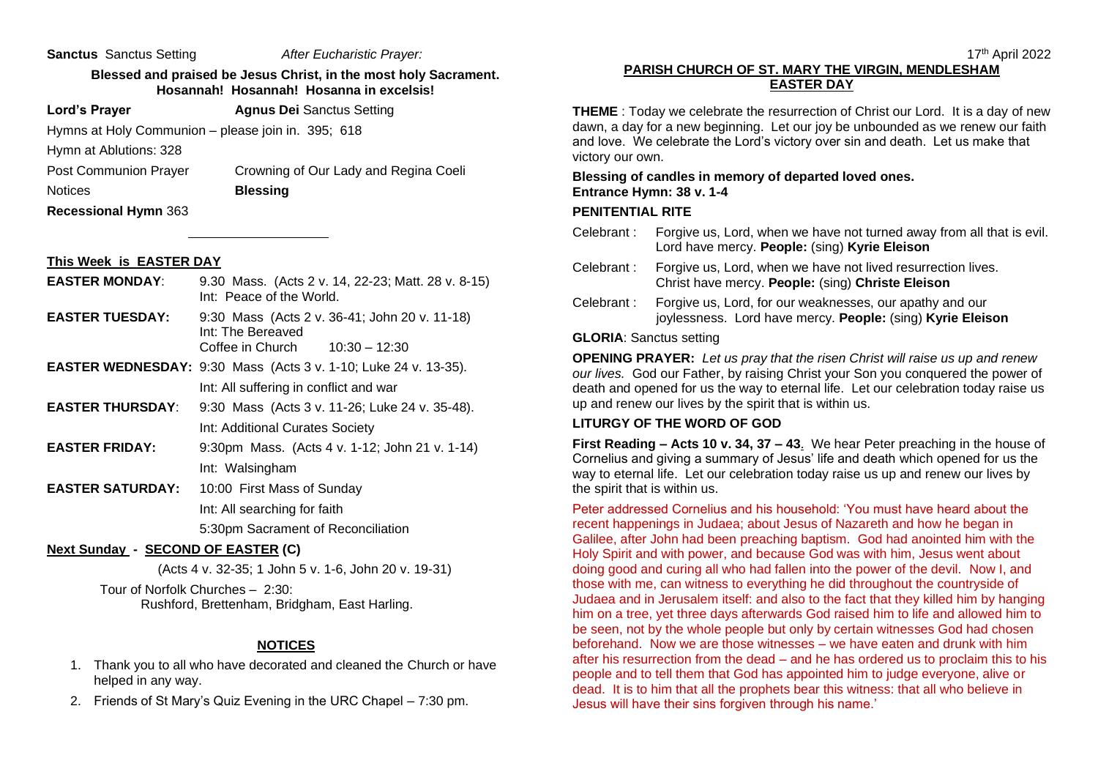**Sanctus** Sanctus Setting *After Eucharistic Prayer:*

#### **Blessed and praised be Jesus Christ, in the most holy Sacrament. Hosannah! Hosannah! Hosanna in excelsis!**

**Lord's Prayer Agnus Dei Sanctus Setting** 

Hymns at Holy Communion – please join in. 395; 618

Hymn at Ablutions: 328

Post Communion Prayer Crowning of Our Lady and Regina Coeli Notices **Blessing** 

**Recessional Hymn** 363

#### **This Week is EASTER DAY**

- **EASTER MONDAY**: 9.30 Mass. (Acts 2 v. 14, 22-23; Matt. 28 v. 8-15) Int: Peace of the World.
- **EASTER TUESDAY:** 9:30 Mass (Acts 2 v. 36-41; John 20 v. 11-18) Int: The Bereaved Coffee in Church  $10:30 - 12:30$
- **EASTER WEDNESDAY:** 9:30 Mass (Acts 3 v. 1-10; Luke 24 v. 13-35). Int: All suffering in conflict and war
- **EASTER THURSDAY**: 9:30 Mass (Acts 3 v. 11-26; Luke 24 v. 35-48). Int: Additional Curates Society
- **EASTER FRIDAY:** 9:30pm Mass. (Acts 4 v. 1-12; John 21 v. 1-14) Int: Walsingham
- **EASTER SATURDAY:** 10:00 First Mass of Sunday Int: All searching for faith

5:30pm Sacrament of Reconciliation

## **Next Sunday - SECOND OF EASTER (C)**

(Acts 4 v. 32-35; 1 John 5 v. 1-6, John 20 v. 19-31)

Tour of Norfolk Churches – 2:30: Rushford, Brettenham, Bridgham, East Harling.

## **NOTICES**

- 1. Thank you to all who have decorated and cleaned the Church or have helped in any way.
- 2. Friends of St Mary's Quiz Evening in the URC Chapel 7:30 pm.

# **PARISH CHURCH OF ST. MARY THE VIRGIN, MENDLESHAM EASTER DAY**

**THEME** : Today we celebrate the resurrection of Christ our Lord. It is a day of new dawn, a day for a new beginning. Let our joy be unbounded as we renew our faith and love. We celebrate the Lord's victory over sin and death. Let us make that victory our own.

#### **Blessing of candles in memory of departed loved ones. Entrance Hymn: 38 v. 1-4**

## **PENITENTIAL RITE**

- Celebrant : Forgive us, Lord, when we have not turned away from all that is evil. Lord have mercy. **People:** (sing) **Kyrie Eleison**
- Celebrant : Forgive us, Lord, when we have not lived resurrection lives. Christ have mercy. **People:** (sing) **Christe Eleison**
- Celebrant : Forgive us, Lord, for our weaknesses, our apathy and our joylessness. Lord have mercy. **People:** (sing) **Kyrie Eleison**

#### **GLORIA**: Sanctus setting

**OPENING PRAYER:** *Let us pray that the risen Christ will raise us up and renew our lives.* God our Father, by raising Christ your Son you conquered the power of death and opened for us the way to eternal life. Let our celebration today raise us up and renew our lives by the spirit that is within us.

## **LITURGY OF THE WORD OF GOD**

**First Reading – Acts 10 v. 34, 37 – 43**. We hear Peter preaching in the house of Cornelius and giving a summary of Jesus' life and death which opened for us the way to eternal life. Let our celebration today raise us up and renew our lives by the spirit that is within us.

Peter addressed Cornelius and his household: 'You must have heard about the recent happenings in Judaea; about Jesus of Nazareth and how he began in Galilee, after John had been preaching baptism. God had anointed him with the Holy Spirit and with power, and because God was with him, Jesus went about doing good and curing all who had fallen into the power of the devil. Now I, and those with me, can witness to everything he did throughout the countryside of Judaea and in Jerusalem itself: and also to the fact that they killed him by hanging him on a tree, yet three days afterwards God raised him to life and allowed him to be seen, not by the whole people but only by certain witnesses God had chosen beforehand. Now we are those witnesses – we have eaten and drunk with him after his resurrection from the dead – and he has ordered us to proclaim this to his people and to tell them that God has appointed him to judge everyone, alive or dead. It is to him that all the prophets bear this witness: that all who believe in Jesus will have their sins forgiven through his name.'